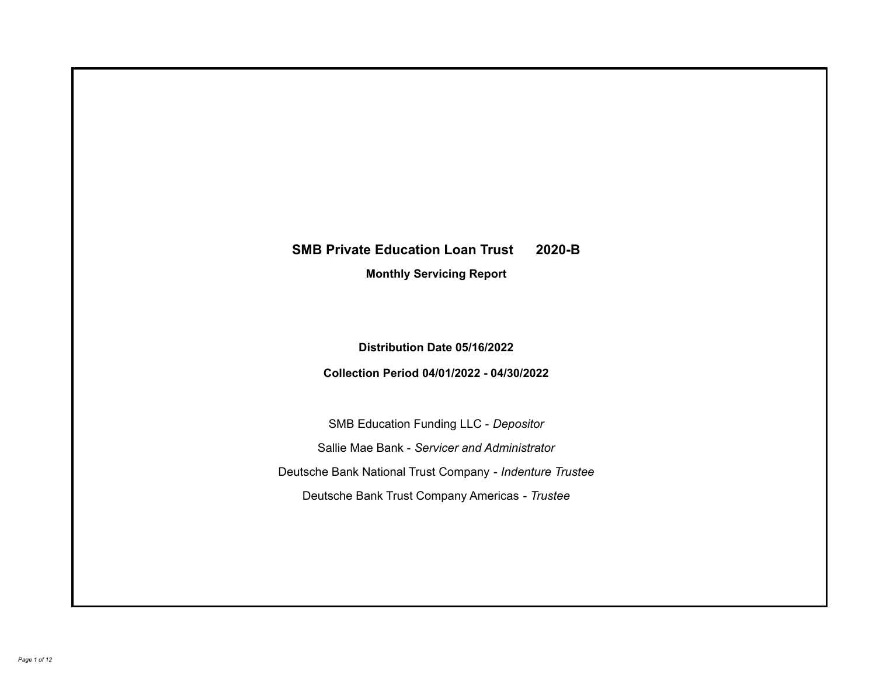# **SMB Private Education Loan Trust 2020-B**

**Monthly Servicing Report**

**Distribution Date 05/16/2022**

**Collection Period 04/01/2022 - 04/30/2022**

SMB Education Funding LLC - *Depositor* Sallie Mae Bank - *Servicer and Administrator* Deutsche Bank National Trust Company - *Indenture Trustee* Deutsche Bank Trust Company Americas - *Trustee*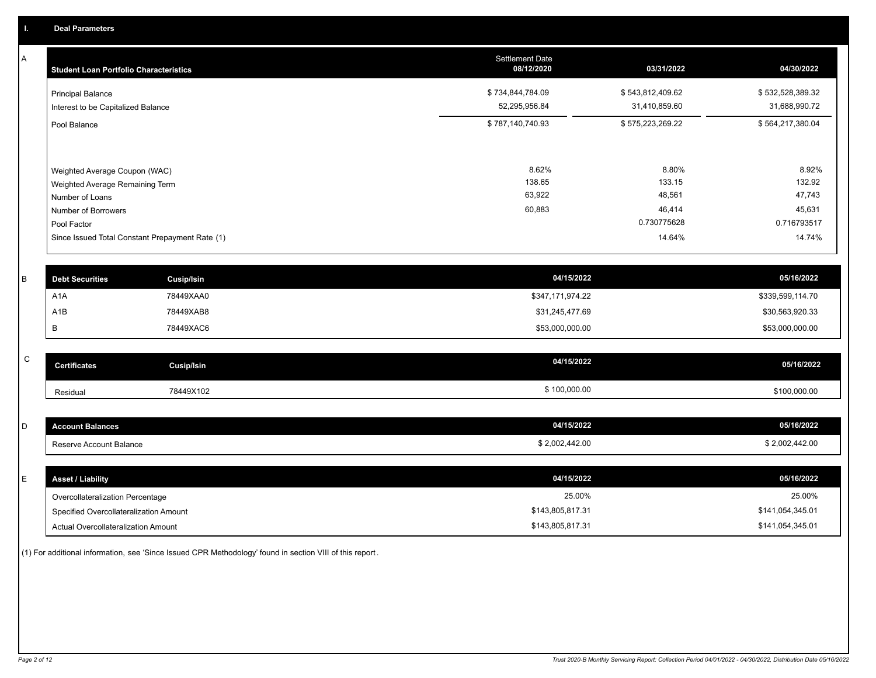A

| <b>Student Loan Portfolio Characteristics</b>                                                                                                                                | <b>Settlement Date</b><br>08/12/2020 | 03/31/2022                                                   | 04/30/2022                                                   |
|------------------------------------------------------------------------------------------------------------------------------------------------------------------------------|--------------------------------------|--------------------------------------------------------------|--------------------------------------------------------------|
| <b>Principal Balance</b><br>Interest to be Capitalized Balance                                                                                                               | \$734,844,784.09<br>52,295,956.84    | \$543,812,409.62<br>31,410,859.60                            | \$532,528,389.32<br>31,688,990.72                            |
| Pool Balance                                                                                                                                                                 | \$787,140,740.93                     | \$575,223,269.22                                             | \$564,217,380.04                                             |
| Weighted Average Coupon (WAC)<br>Weighted Average Remaining Term<br>Number of Loans<br>Number of Borrowers<br>Pool Factor<br>Since Issued Total Constant Prepayment Rate (1) | 8.62%<br>138.65<br>63,922<br>60,883  | 8.80%<br>133.15<br>48,561<br>46,414<br>0.730775628<br>14.64% | 8.92%<br>132.92<br>47,743<br>45,631<br>0.716793517<br>14.74% |

| <b>Debt Securities</b> | Cusip/Isin | 04/15/2022       | 05/16/2022       |
|------------------------|------------|------------------|------------------|
| A <sub>1</sub> A       | 78449XAA0  | \$347,171,974.22 | \$339,599,114.70 |
| A1B                    | 78449XAB8  | \$31,245,477.69  | \$30,563,920.33  |
|                        | 78449XAC6  | \$53,000,000.00  | \$53,000,000.00  |

| $\overline{\phantom{0}}$<br>້ | <b>Certificates</b> | Cusip/Isin | 04/15/2022   | 05/16/2022   |
|-------------------------------|---------------------|------------|--------------|--------------|
|                               | Residual            | 78449X102  | \$100,000.00 | \$100,000.00 |

| <b>Account Balances</b> | 04/15/2022     | 05/16/2022     |
|-------------------------|----------------|----------------|
| Reserve Account Balance | \$2,002,442.00 | \$2,002,442.00 |

| E. | <b>Asset / Liability</b>               | 04/15/2022       | 05/16/2022       |
|----|----------------------------------------|------------------|------------------|
|    | Overcollateralization Percentage       | 25.00%           | 25.00%           |
|    | Specified Overcollateralization Amount | \$143,805,817.31 | \$141,054,345.01 |
|    | Actual Overcollateralization Amount    | \$143,805,817.31 | \$141,054,345.01 |

(1) For additional information, see 'Since Issued CPR Methodology' found in section VIII of this report .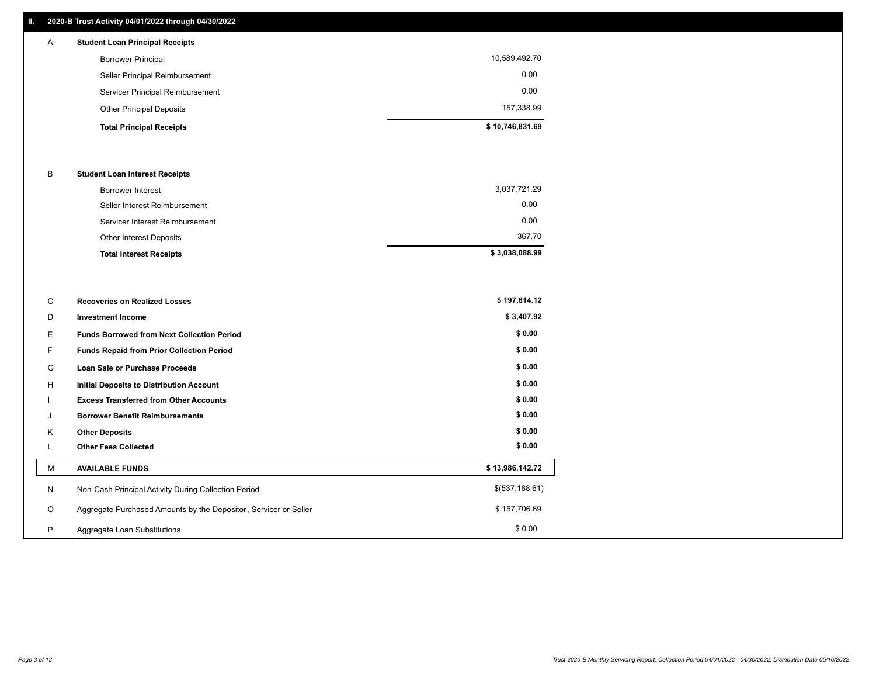## **II. 2020-B Trust Activity 04/01/2022 through 04/30/2022**

## **Total Principal Receipts \$ 10,746,831.69**  Other Principal Deposits 157,338.99 Servicer Principal Reimbursement 0.00 Seller Principal Reimbursement 0.00 Borrower Principal 10,589,492.70 A **Student Loan Principal Receipts**

### B **Student Loan Interest Receipts**

| <b>Total Interest Receipts</b>  | \$3,038,088.99 |
|---------------------------------|----------------|
| Other Interest Deposits         | 367.70         |
| Servicer Interest Reimbursement | 0.00           |
| Seller Interest Reimbursement   | 0.00           |
| Borrower Interest               | 3,037,721.29   |

| C       | <b>Recoveries on Realized Losses</b>                             | \$197,814.12    |
|---------|------------------------------------------------------------------|-----------------|
| D       | <b>Investment Income</b>                                         | \$3,407.92      |
| Е.      | <b>Funds Borrowed from Next Collection Period</b>                | \$0.00          |
| F.      | Funds Repaid from Prior Collection Period                        | \$0.00          |
| G       | Loan Sale or Purchase Proceeds                                   | \$0.00          |
| H       | Initial Deposits to Distribution Account                         | \$0.00          |
|         | <b>Excess Transferred from Other Accounts</b>                    | \$0.00          |
| J       | <b>Borrower Benefit Reimbursements</b>                           | \$0.00          |
| K       | <b>Other Deposits</b>                                            | \$0.00          |
|         | <b>Other Fees Collected</b>                                      | \$0.00          |
| М       | <b>AVAILABLE FUNDS</b>                                           | \$13,986,142.72 |
| N       | Non-Cash Principal Activity During Collection Period             | \$(537,188.61)  |
| $\circ$ | Aggregate Purchased Amounts by the Depositor, Servicer or Seller | \$157,706.69    |
| P       | Aggregate Loan Substitutions                                     | \$0.00          |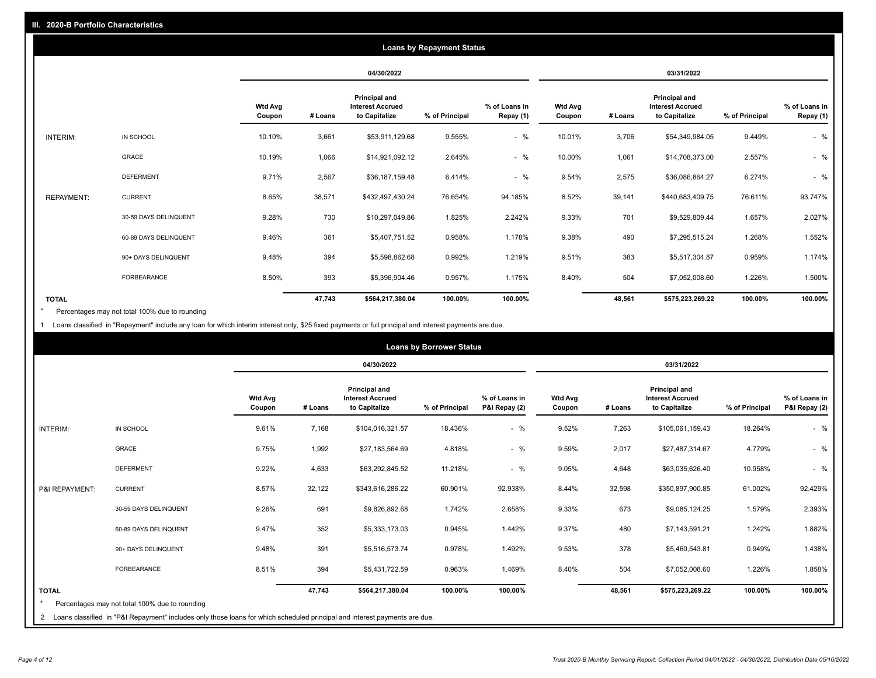|                   |                       |                          | <b>Loans by Repayment Status</b> |                                                           |                |                            |                          |         |                                                           |                |                            |
|-------------------|-----------------------|--------------------------|----------------------------------|-----------------------------------------------------------|----------------|----------------------------|--------------------------|---------|-----------------------------------------------------------|----------------|----------------------------|
|                   |                       |                          |                                  | 04/30/2022                                                |                |                            |                          |         | 03/31/2022                                                |                |                            |
|                   |                       | <b>Wtd Avg</b><br>Coupon | # Loans                          | Principal and<br><b>Interest Accrued</b><br>to Capitalize | % of Principal | % of Loans in<br>Repay (1) | <b>Wtd Avg</b><br>Coupon | # Loans | Principal and<br><b>Interest Accrued</b><br>to Capitalize | % of Principal | % of Loans in<br>Repay (1) |
| INTERIM:          | IN SCHOOL             | 10.10%                   | 3,661                            | \$53,911,129.68                                           | 9.555%         | $-$ %                      | 10.01%                   | 3,706   | \$54,349,984.05                                           | 9.449%         | $-$ %                      |
|                   | <b>GRACE</b>          | 10.19%                   | 1,066                            | \$14,921,092.12                                           | 2.645%         | $-$ %                      | 10.00%                   | 1,061   | \$14,708,373.00                                           | 2.557%         | $-$ %                      |
|                   | <b>DEFERMENT</b>      | 9.71%                    | 2,567                            | \$36,187,159.48                                           | 6.414%         | $-$ %                      | 9.54%                    | 2,575   | \$36,086,864.27                                           | 6.274%         | $-$ %                      |
| <b>REPAYMENT:</b> | <b>CURRENT</b>        | 8.65%                    | 38,571                           | \$432,497,430.24                                          | 76.654%        | 94.185%                    | 8.52%                    | 39,141  | \$440,683,409.75                                          | 76.611%        | 93.747%                    |
|                   | 30-59 DAYS DELINQUENT | 9.28%                    | 730                              | \$10,297,049.86                                           | 1.825%         | 2.242%                     | 9.33%                    | 701     | \$9,529,809.44                                            | 1.657%         | 2.027%                     |
|                   | 60-89 DAYS DELINQUENT | 9.46%                    | 361                              | \$5,407,751.52                                            | 0.958%         | 1.178%                     | 9.38%                    | 490     | \$7,295,515.24                                            | 1.268%         | 1.552%                     |
|                   | 90+ DAYS DELINQUENT   | 9.48%                    | 394                              | \$5,598,862.68                                            | 0.992%         | 1.219%                     | 9.51%                    | 383     | \$5,517,304.87                                            | 0.959%         | 1.174%                     |
|                   | <b>FORBEARANCE</b>    | 8.50%                    | 393                              | \$5,396,904.46                                            | 0.957%         | 1.175%                     | 8.40%                    | 504     | \$7,052,008.60                                            | 1.226%         | 1.500%                     |
| <b>TOTAL</b>      |                       |                          | 47,743                           | \$564,217,380.04                                          | 100.00%        | 100.00%                    |                          | 48,561  | \$575,223,269.22                                          | 100.00%        | 100.00%                    |

Percentages may not total 100% due to rounding \*

1 Loans classified in "Repayment" include any loan for which interim interest only, \$25 fixed payments or full principal and interest payments are due.

|                 | <b>Loans by Borrower Status</b>                                                                                                                                                |                          |            |                                                                  |                |                                |                          |         |                                                                  |                |                                |  |
|-----------------|--------------------------------------------------------------------------------------------------------------------------------------------------------------------------------|--------------------------|------------|------------------------------------------------------------------|----------------|--------------------------------|--------------------------|---------|------------------------------------------------------------------|----------------|--------------------------------|--|
|                 |                                                                                                                                                                                |                          | 04/30/2022 |                                                                  |                |                                | 03/31/2022               |         |                                                                  |                |                                |  |
|                 |                                                                                                                                                                                | <b>Wtd Avg</b><br>Coupon | # Loans    | <b>Principal and</b><br><b>Interest Accrued</b><br>to Capitalize | % of Principal | % of Loans in<br>P&I Repay (2) | <b>Wtd Avg</b><br>Coupon | # Loans | <b>Principal and</b><br><b>Interest Accrued</b><br>to Capitalize | % of Principal | % of Loans in<br>P&I Repay (2) |  |
| <b>INTERIM:</b> | IN SCHOOL                                                                                                                                                                      | 9.61%                    | 7,168      | \$104,016,321.57                                                 | 18.436%        | $-$ %                          | 9.52%                    | 7,263   | \$105,061,159.43                                                 | 18.264%        | $-$ %                          |  |
|                 | <b>GRACE</b>                                                                                                                                                                   | 9.75%                    | 1,992      | \$27,183,564.69                                                  | 4.818%         | $-$ %                          | 9.59%                    | 2,017   | \$27,487,314.67                                                  | 4.779%         | $-$ %                          |  |
|                 | <b>DEFERMENT</b>                                                                                                                                                               | 9.22%                    | 4,633      | \$63,292,845.52                                                  | 11.218%        | $-$ %                          | 9.05%                    | 4,648   | \$63,035,626.40                                                  | 10.958%        | $-$ %                          |  |
| P&I REPAYMENT:  | <b>CURRENT</b>                                                                                                                                                                 | 8.57%                    | 32,122     | \$343,616,286.22                                                 | 60.901%        | 92.938%                        | 8.44%                    | 32,598  | \$350,897,900.85                                                 | 61.002%        | 92.429%                        |  |
|                 | 30-59 DAYS DELINQUENT                                                                                                                                                          | 9.26%                    | 691        | \$9,826,892.68                                                   | 1.742%         | 2.658%                         | 9.33%                    | 673     | \$9,085,124.25                                                   | 1.579%         | 2.393%                         |  |
|                 | 60-89 DAYS DELINQUENT                                                                                                                                                          | 9.47%                    | 352        | \$5,333,173.03                                                   | 0.945%         | 1.442%                         | 9.37%                    | 480     | \$7,143,591.21                                                   | 1.242%         | 1.882%                         |  |
|                 | 90+ DAYS DELINQUENT                                                                                                                                                            | 9.48%                    | 391        | \$5,516,573.74                                                   | 0.978%         | 1.492%                         | 9.53%                    | 378     | \$5,460,543.81                                                   | 0.949%         | 1.438%                         |  |
|                 | FORBEARANCE                                                                                                                                                                    | 8.51%                    | 394        | \$5,431,722.59                                                   | 0.963%         | 1.469%                         | 8.40%                    | 504     | \$7,052,008.60                                                   | 1.226%         | 1.858%                         |  |
| <b>TOTAL</b>    | Percentages may not total 100% due to rounding<br>2 Loans classified in "P&I Repayment" includes only those loans for which scheduled principal and interest payments are due. |                          | 47,743     | \$564,217,380.04                                                 | 100.00%        | 100.00%                        |                          | 48,561  | \$575,223,269.22                                                 | 100.00%        | 100.00%                        |  |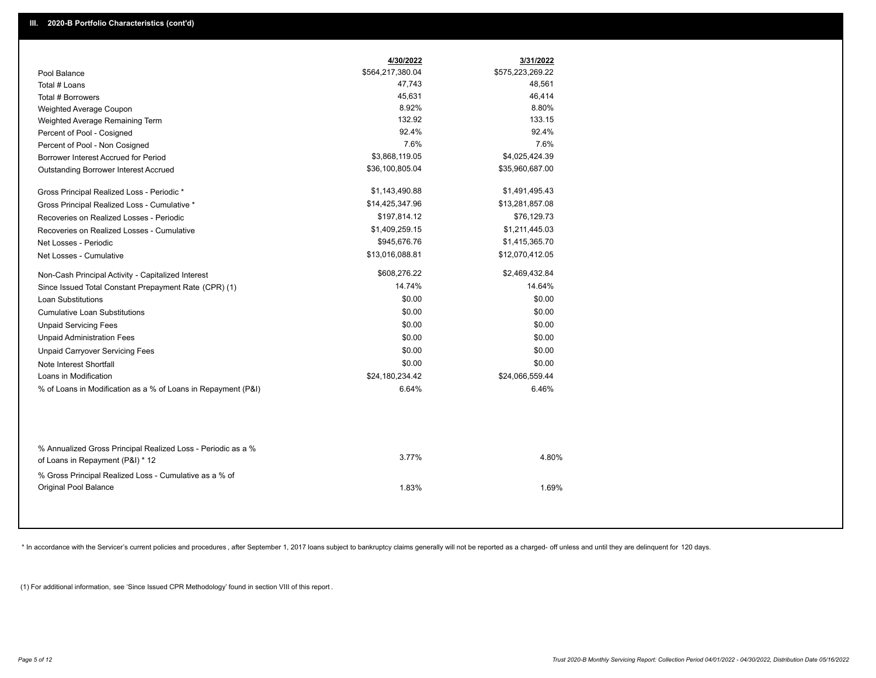|                                                                                        | 4/30/2022        | 3/31/2022        |
|----------------------------------------------------------------------------------------|------------------|------------------|
| Pool Balance                                                                           | \$564,217,380.04 | \$575,223,269.22 |
| Total # Loans                                                                          | 47,743           | 48,561           |
| Total # Borrowers                                                                      | 45,631           | 46,414           |
| Weighted Average Coupon                                                                | 8.92%            | 8.80%            |
| Weighted Average Remaining Term                                                        | 132.92           | 133.15           |
| Percent of Pool - Cosigned                                                             | 92.4%            | 92.4%            |
| Percent of Pool - Non Cosigned                                                         | 7.6%             | 7.6%             |
| Borrower Interest Accrued for Period                                                   | \$3,868,119.05   | \$4,025,424.39   |
| Outstanding Borrower Interest Accrued                                                  | \$36,100,805.04  | \$35,960,687.00  |
| Gross Principal Realized Loss - Periodic *                                             | \$1,143,490.88   | \$1,491,495.43   |
| Gross Principal Realized Loss - Cumulative *                                           | \$14,425,347.96  | \$13,281,857.08  |
| Recoveries on Realized Losses - Periodic                                               | \$197,814.12     | \$76,129.73      |
| Recoveries on Realized Losses - Cumulative                                             | \$1,409,259.15   | \$1,211,445.03   |
| Net Losses - Periodic                                                                  | \$945,676.76     | \$1,415,365.70   |
| Net Losses - Cumulative                                                                | \$13,016,088.81  | \$12,070,412.05  |
| Non-Cash Principal Activity - Capitalized Interest                                     | \$608,276.22     | \$2,469,432.84   |
| Since Issued Total Constant Prepayment Rate (CPR) (1)                                  | 14.74%           | 14.64%           |
| <b>Loan Substitutions</b>                                                              | \$0.00           | \$0.00           |
| <b>Cumulative Loan Substitutions</b>                                                   | \$0.00           | \$0.00           |
| <b>Unpaid Servicing Fees</b>                                                           | \$0.00           | \$0.00           |
| <b>Unpaid Administration Fees</b>                                                      | \$0.00           | \$0.00           |
| <b>Unpaid Carryover Servicing Fees</b>                                                 | \$0.00           | \$0.00           |
| Note Interest Shortfall                                                                | \$0.00           | \$0.00           |
| Loans in Modification                                                                  | \$24,180,234.42  | \$24,066,559.44  |
| % of Loans in Modification as a % of Loans in Repayment (P&I)                          | 6.64%            | 6.46%            |
| % Annualized Gross Principal Realized Loss - Periodic as a %                           | 3.77%            | 4.80%            |
| of Loans in Repayment (P&I) * 12                                                       |                  |                  |
| % Gross Principal Realized Loss - Cumulative as a % of<br><b>Original Pool Balance</b> | 1.83%            | 1.69%            |

\* In accordance with the Servicer's current policies and procedures, after September 1, 2017 loans subject to bankruptcy claims generally will not be reported as a charged- off unless and until they are delinquent for 120

(1) For additional information, see 'Since Issued CPR Methodology' found in section VIII of this report .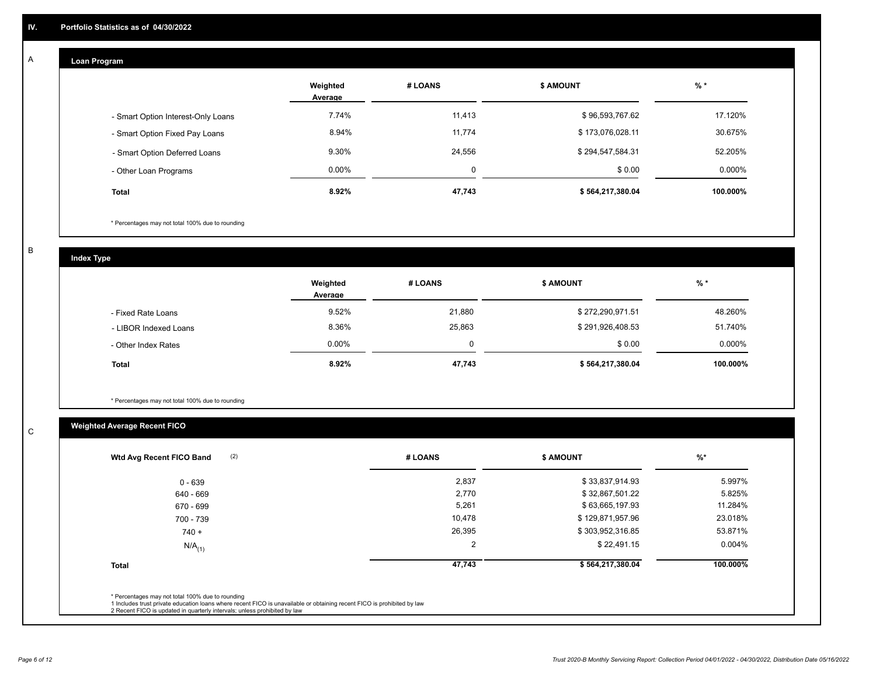## **Loan Program**

A

|                                    | Weighted<br>Average | # LOANS  | <b>\$ AMOUNT</b> | $%$ *    |
|------------------------------------|---------------------|----------|------------------|----------|
| - Smart Option Interest-Only Loans | 7.74%               | 11,413   | \$96,593,767.62  | 17.120%  |
| - Smart Option Fixed Pay Loans     | 8.94%               | 11,774   | \$173,076,028.11 | 30.675%  |
| - Smart Option Deferred Loans      | 9.30%               | 24,556   | \$294,547,584.31 | 52.205%  |
| - Other Loan Programs              | $0.00\%$            | $\Omega$ | \$0.00           | 0.000%   |
| <b>Total</b>                       | 8.92%               | 47,743   | \$564,217,380.04 | 100.000% |

\* Percentages may not total 100% due to rounding

B

C

**Index Type**

|                       | Weighted<br>Average | # LOANS  | <b>\$ AMOUNT</b> | $%$ *     |
|-----------------------|---------------------|----------|------------------|-----------|
| - Fixed Rate Loans    | 9.52%               | 21,880   | \$272,290,971.51 | 48.260%   |
| - LIBOR Indexed Loans | 8.36%               | 25,863   | \$291,926,408.53 | 51.740%   |
| - Other Index Rates   | $0.00\%$            | $\Omega$ | \$0.00           | $0.000\%$ |
| <b>Total</b>          | 8.92%               | 47,743   | \$564,217,380.04 | 100.000%  |

\* Percentages may not total 100% due to rounding

## **Weighted Average Recent FICO**

| 2,837<br>2,770<br>5,261<br>10,478 | \$33,837,914.93<br>\$32,867,501.22<br>\$63,665,197.93<br>\$129,871,957.96 | 5.997%<br>5.825%<br>11.284% |
|-----------------------------------|---------------------------------------------------------------------------|-----------------------------|
|                                   |                                                                           |                             |
|                                   |                                                                           |                             |
|                                   |                                                                           |                             |
|                                   |                                                                           | 23.018%                     |
| 26,395                            | \$303,952,316.85                                                          | 53.871%                     |
| 2                                 | \$22,491.15                                                               | $0.004\%$                   |
| 47,743                            | \$564,217,380.04                                                          | 100.000%                    |
|                                   |                                                                           |                             |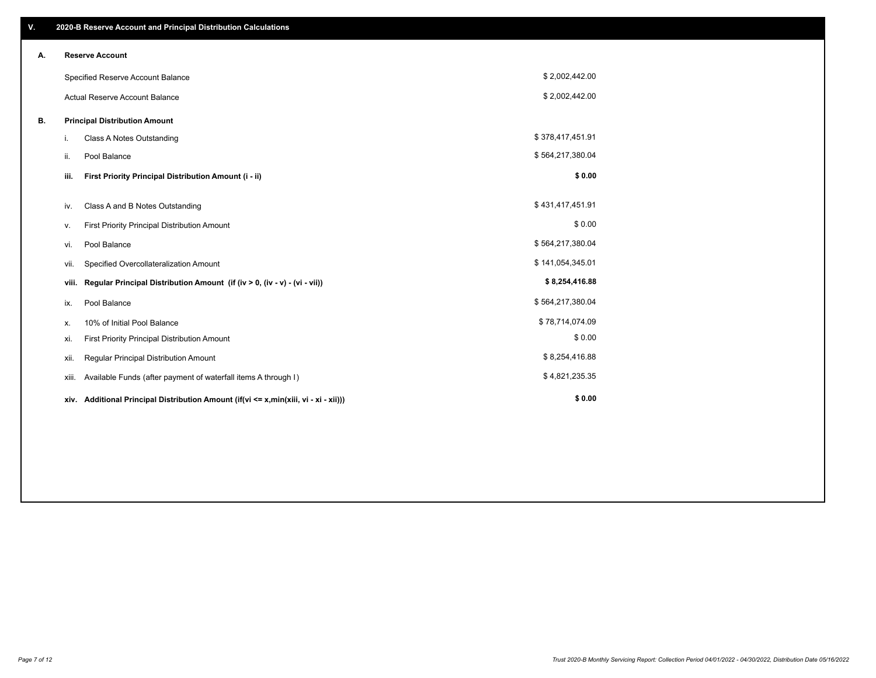| V. |       | 2020-B Reserve Account and Principal Distribution Calculations                  |                  |  |
|----|-------|---------------------------------------------------------------------------------|------------------|--|
| А. |       | <b>Reserve Account</b>                                                          |                  |  |
|    |       | Specified Reserve Account Balance                                               | \$2,002,442.00   |  |
|    |       | Actual Reserve Account Balance                                                  | \$2,002,442.00   |  |
| В. |       | <b>Principal Distribution Amount</b>                                            |                  |  |
|    | i.    | <b>Class A Notes Outstanding</b>                                                | \$378,417,451.91 |  |
|    | ii.   | Pool Balance                                                                    | \$564,217,380.04 |  |
|    | iii.  | First Priority Principal Distribution Amount (i - ii)                           | \$0.00           |  |
|    | iv.   | Class A and B Notes Outstanding                                                 | \$431,417,451.91 |  |
|    | v.    | First Priority Principal Distribution Amount                                    | \$0.00           |  |
|    | vi.   | Pool Balance                                                                    | \$564,217,380.04 |  |
|    | vii.  | Specified Overcollateralization Amount                                          | \$141,054,345.01 |  |
|    | viii. | Regular Principal Distribution Amount (if (iv > 0, (iv - v) - (vi - vii))       | \$8,254,416.88   |  |
|    | ix.   | Pool Balance                                                                    | \$564,217,380.04 |  |
|    | х.    | 10% of Initial Pool Balance                                                     | \$78,714,074.09  |  |
|    | xi.   | First Priority Principal Distribution Amount                                    | \$0.00           |  |
|    | xii.  | Regular Principal Distribution Amount                                           | \$8,254,416.88   |  |
|    | xiii. | Available Funds (after payment of waterfall items A through I)                  | \$4,821,235.35   |  |
|    | xiv.  | Additional Principal Distribution Amount (if(vi <= x,min(xiii, vi - xi - xii))) | \$0.00           |  |
|    |       |                                                                                 |                  |  |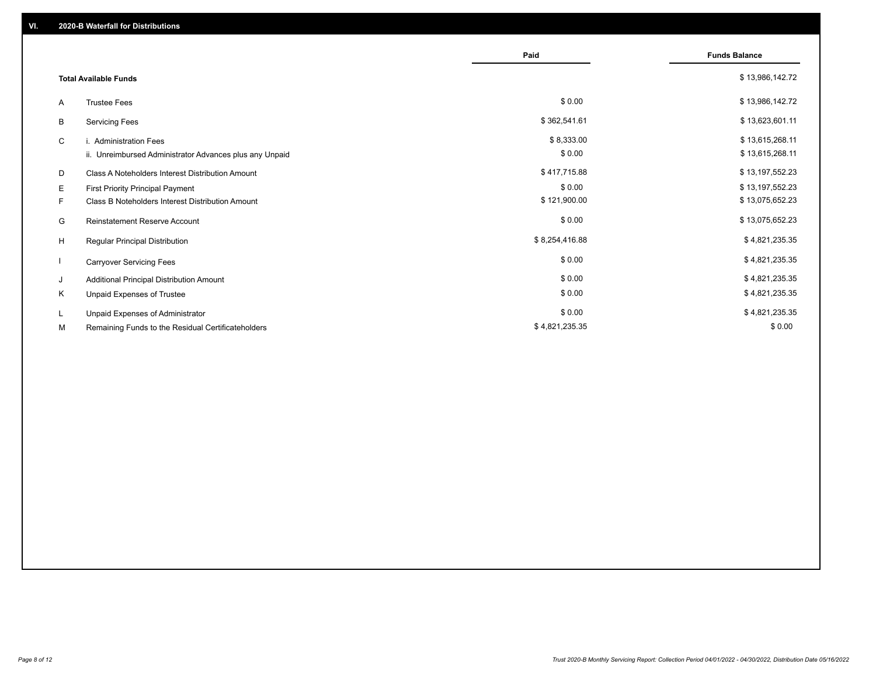|    |                                                         | Paid           | <b>Funds Balance</b> |
|----|---------------------------------------------------------|----------------|----------------------|
|    | <b>Total Available Funds</b>                            |                | \$13,986,142.72      |
| A  | <b>Trustee Fees</b>                                     | \$0.00         | \$13,986,142.72      |
| B  | <b>Servicing Fees</b>                                   | \$362,541.61   | \$13,623,601.11      |
| C  | i. Administration Fees                                  | \$8,333.00     | \$13,615,268.11      |
|    | ii. Unreimbursed Administrator Advances plus any Unpaid | \$0.00         | \$13,615,268.11      |
| D  | Class A Noteholders Interest Distribution Amount        | \$417,715.88   | \$13,197,552.23      |
| Е  | First Priority Principal Payment                        | \$0.00         | \$13,197,552.23      |
| F. | Class B Noteholders Interest Distribution Amount        | \$121,900.00   | \$13,075,652.23      |
| G  | <b>Reinstatement Reserve Account</b>                    | \$0.00         | \$13,075,652.23      |
| H  | Regular Principal Distribution                          | \$8,254,416.88 | \$4,821,235.35       |
|    | <b>Carryover Servicing Fees</b>                         | \$0.00         | \$4,821,235.35       |
| J  | Additional Principal Distribution Amount                | \$0.00         | \$4,821,235.35       |
| Κ  | Unpaid Expenses of Trustee                              | \$0.00         | \$4,821,235.35       |
| L  | Unpaid Expenses of Administrator                        | \$0.00         | \$4,821,235.35       |
| М  | Remaining Funds to the Residual Certificateholders      | \$4,821,235.35 | \$0.00               |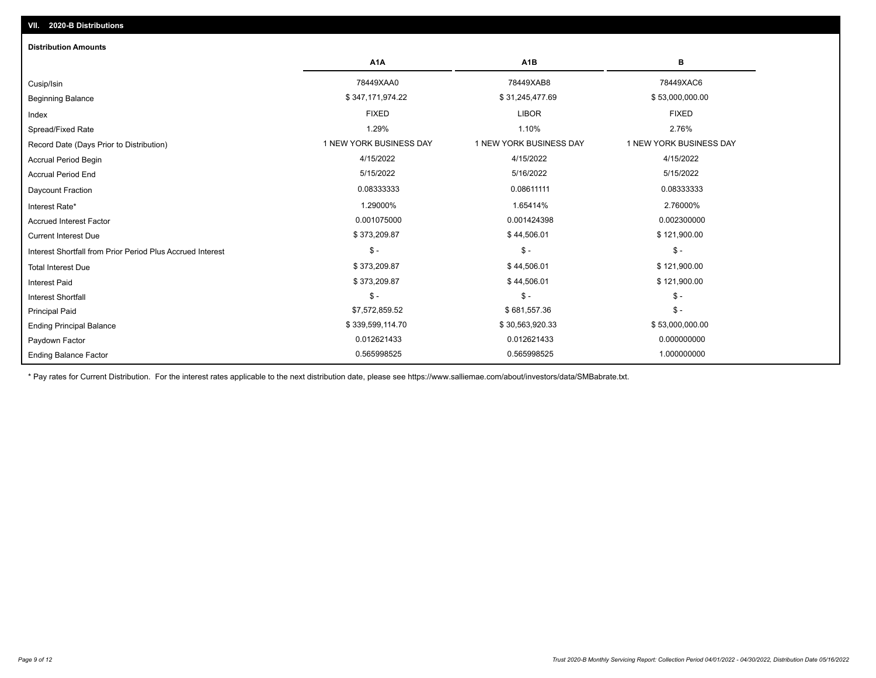| <b>Distribution Amounts</b>                                |                         |                         |                         |
|------------------------------------------------------------|-------------------------|-------------------------|-------------------------|
|                                                            | A <sub>1</sub> A        | A <sub>1</sub> B        | в                       |
| Cusip/Isin                                                 | 78449XAA0               | 78449XAB8               | 78449XAC6               |
| <b>Beginning Balance</b>                                   | \$347,171,974.22        | \$31,245,477.69         | \$53,000,000.00         |
| Index                                                      | <b>FIXED</b>            | <b>LIBOR</b>            | <b>FIXED</b>            |
| Spread/Fixed Rate                                          | 1.29%                   | 1.10%                   | 2.76%                   |
| Record Date (Days Prior to Distribution)                   | 1 NEW YORK BUSINESS DAY | 1 NEW YORK BUSINESS DAY | 1 NEW YORK BUSINESS DAY |
| <b>Accrual Period Begin</b>                                | 4/15/2022               | 4/15/2022               | 4/15/2022               |
| <b>Accrual Period End</b>                                  | 5/15/2022               | 5/16/2022               | 5/15/2022               |
| Daycount Fraction                                          | 0.08333333              | 0.08611111              | 0.08333333              |
| Interest Rate*                                             | 1.29000%                | 1.65414%                | 2.76000%                |
| <b>Accrued Interest Factor</b>                             | 0.001075000             | 0.001424398             | 0.002300000             |
| <b>Current Interest Due</b>                                | \$373,209.87            | \$44,506.01             | \$121,900.00            |
| Interest Shortfall from Prior Period Plus Accrued Interest | $\frac{1}{2}$           | $$ -$                   | $\frac{1}{2}$           |
| <b>Total Interest Due</b>                                  | \$373,209.87            | \$44,506.01             | \$121,900.00            |
| <b>Interest Paid</b>                                       | \$373,209.87            | \$44,506.01             | \$121,900.00            |
| <b>Interest Shortfall</b>                                  | $\mathsf{\$}$ -         | $$ -$                   | $$ -$                   |
| <b>Principal Paid</b>                                      | \$7,572,859.52          | \$681,557.36            | $$ -$                   |
| <b>Ending Principal Balance</b>                            | \$339,599,114.70        | \$30,563,920.33         | \$53,000,000.00         |
| Paydown Factor                                             | 0.012621433             | 0.012621433             | 0.000000000             |
| <b>Ending Balance Factor</b>                               | 0.565998525             | 0.565998525             | 1.000000000             |

\* Pay rates for Current Distribution. For the interest rates applicable to the next distribution date, please see https://www.salliemae.com/about/investors/data/SMBabrate.txt.

**VII. 2020-B Distributions**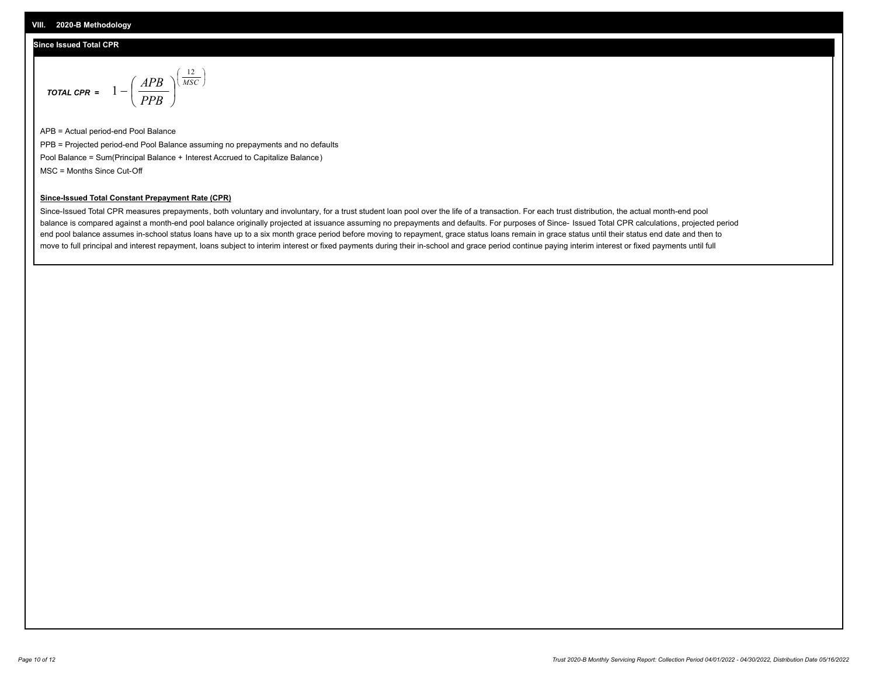## **Since Issued Total CPR**

$$
\text{total cPR} = 1 - \left(\frac{APB}{PPB}\right)^{\left(\frac{12}{MSC}\right)}
$$

APB = Actual period-end Pool Balance PPB = Projected period-end Pool Balance assuming no prepayments and no defaults Pool Balance = Sum(Principal Balance + Interest Accrued to Capitalize Balance) MSC = Months Since Cut-Off

I J Ι

### **Since-Issued Total Constant Prepayment Rate (CPR)**

Since-Issued Total CPR measures prepayments, both voluntary and involuntary, for a trust student loan pool over the life of a transaction. For each trust distribution, the actual month-end pool balance is compared against a month-end pool balance originally projected at issuance assuming no prepayments and defaults. For purposes of Since- Issued Total CPR calculations, projected period end pool balance assumes in-school status loans have up to a six month grace period before moving to repayment, grace status loans remain in grace status until their status end date and then to move to full principal and interest repayment, loans subject to interim interest or fixed payments during their in-school and grace period continue paying interim interest or fixed payments until full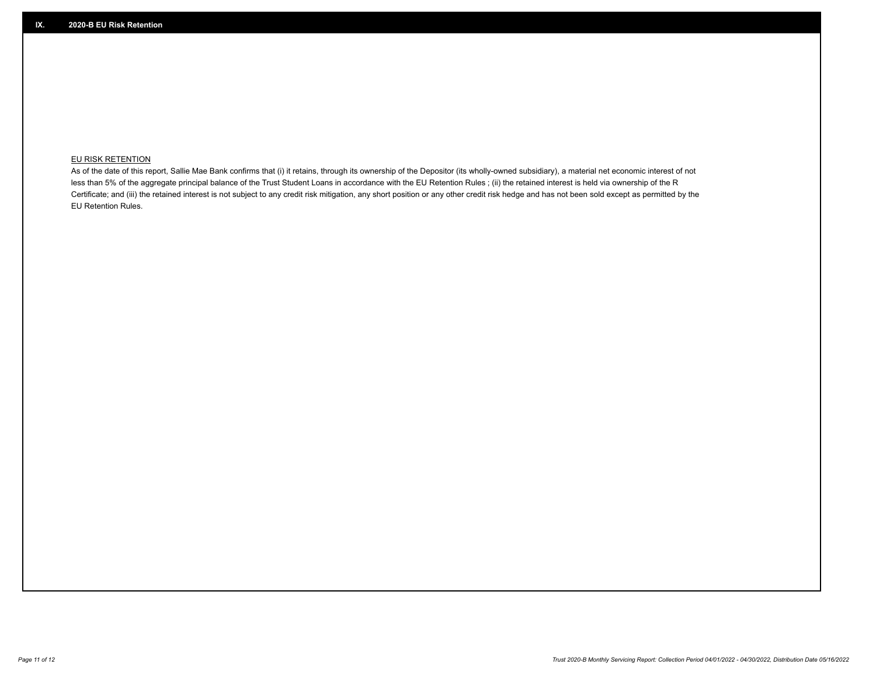## **EU RISK RETENTION**

As of the date of this report, Sallie Mae Bank confirms that (i) it retains, through its ownership of the Depositor (its wholly-owned subsidiary), a material net economic interest of not less than 5% of the aggregate principal balance of the Trust Student Loans in accordance with the EU Retention Rules ; (ii) the retained interest is held via ownership of the R Certificate; and (iii) the retained interest is not subject to any credit risk mitigation, any short position or any other credit risk hedge and has not been sold except as permitted by the EU Retention Rules.